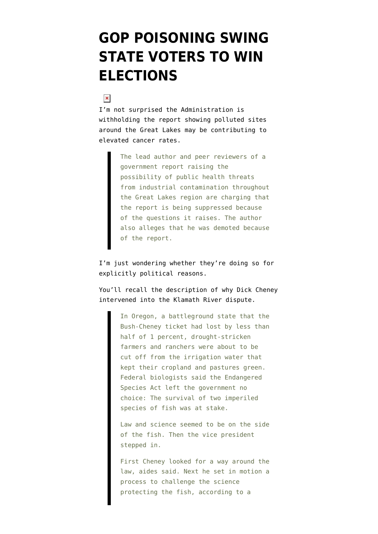## **[GOP POISONING SWING](https://www.emptywheel.net/2008/02/18/gop-poisoning-swing-state-voters-to-win-elections/) [STATE VOTERS TO WIN](https://www.emptywheel.net/2008/02/18/gop-poisoning-swing-state-voters-to-win-elections/) [ELECTIONS](https://www.emptywheel.net/2008/02/18/gop-poisoning-swing-state-voters-to-win-elections/)**

## $\pmb{\times}$

I'm not surprised the Administration [is](http://www.washingtonpost.com/wp-dyn/content/article/2008/02/17/AR2008021702186.html?nav=rss_politics) [withholding](http://www.washingtonpost.com/wp-dyn/content/article/2008/02/17/AR2008021702186.html?nav=rss_politics) [the report](http://www.publicintegrity.org/GreatLakes/index.htm) showing polluted sites around the Great Lakes may be contributing to elevated cancer rates.

> The lead author and peer reviewers of a government report raising the possibility of public health threats from industrial contamination throughout the Great Lakes region are charging that the report is being suppressed because of the questions it raises. The author also alleges that he was demoted because of the report.

I'm just wondering whether they're doing so for explicitly political reasons.

You'll recall the description of why Dick Cheney [intervened](http://blog.washingtonpost.com/cheney/chapters/leaving_no_tracks/index.html) into the Klamath River dispute.

> In Oregon, a battleground state that the Bush-Cheney ticket had lost by less than half of 1 percent, drought-stricken farmers and ranchers were about to be cut off from the irrigation water that kept their cropland and pastures green. Federal biologists said the Endangered Species Act left the government no choice: The survival of two imperiled species of fish was at stake.

> Law and science seemed to be on the side of the fish. Then the vice president stepped in.

> First Cheney looked for a way around the law, aides said. Next he set in motion a process to challenge the science protecting the fish, according to a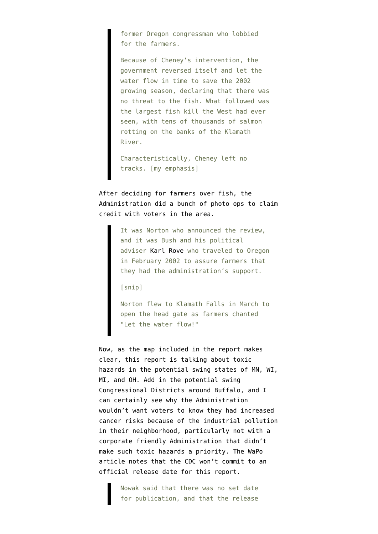former Oregon congressman who lobbied for the farmers.

Because of Cheney's intervention, the government reversed itself and let the water flow in time to save the 2002 growing season, declaring that there was no threat to the fish. What followed was the largest fish kill the West had ever seen, with tens of thousands of salmon rotting on the banks of the Klamath River.

Characteristically, Cheney left no tracks. [my emphasis]

After deciding for farmers over fish, the Administration did a bunch of photo ops to claim credit with voters in the area.

> It was Norton who announced the review, and it was Bush and his political adviser [Karl Rove](http://blog.washingtonpost.com/cheney/about/cast_of_characters/#Rove) who traveled to Oregon in February 2002 to assure farmers that they had the administration's support.

[snip]

Norton flew to Klamath Falls in March to open the head gate as farmers chanted "Let the water flow!"

Now, as the map included in the report makes clear, this report is talking about toxic hazards in the potential swing states of MN, WI, MI, and OH. Add in the potential swing Congressional Districts around Buffalo, and I can certainly see why the Administration wouldn't want voters to know they had increased cancer risks because of the industrial pollution in their neighborhood, particularly not with a corporate friendly Administration that didn't make such toxic hazards a priority. The WaPo article notes that the CDC won't commit to an official release date for this report.

> Nowak said that there was no set date for publication, and that the release